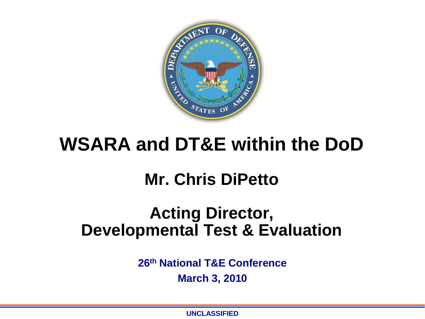

# **WSARA and DT&E within the DoD**

## **Mr. Chris DiPetto**

## **Acting Director, Developmental Test & Evaluation**

**26th National T&E Conference** 

**March 3, 2010** 

**UNCLASSIFIED**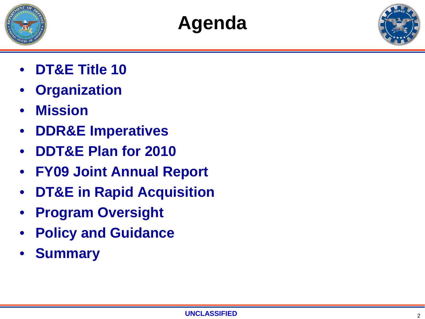





- **DT&E Title 10**
- **Organization**
- **Mission**
- **DDR&E Imperatives**
- **DDT&E Plan for 2010**
- **FY09 Joint Annual Report**
- **DT&E in Rapid Acquisition**
- **Program Oversight**
- **Policy and Guidance**
- **Summary**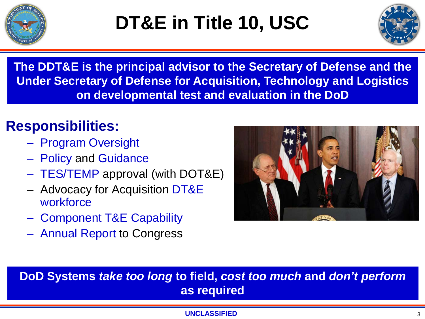



**The DDT&E is the principal advisor to the Secretary of Defense and the Under Secretary of Defense for Acquisition, Technology and Logistics on developmental test and evaluation in the DoD**

## **Responsibilities:**

- Program Oversight
- Policy and Guidance
- TES/TEMP approval (with DOT&E)
- Advocacy for Acquisition DT&E **workforce**
- Component T&E Capability
- Annual Report to Congress



**DoD Systems** *take too long* **to field,** *cost too much* **and** *don't perform*  **as required**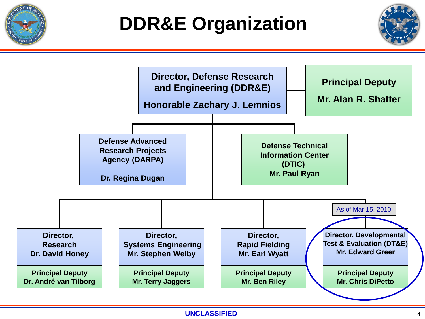

# **DDR&E Organization**



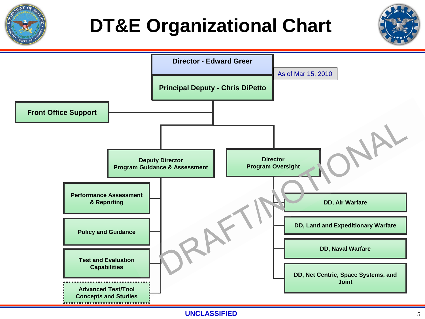

# **DT&E Organizational Chart**

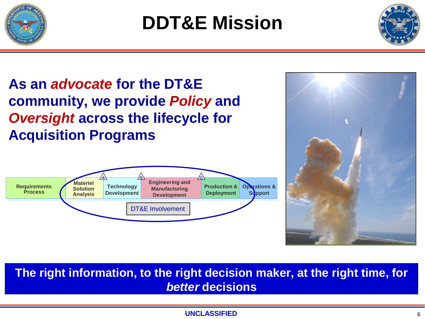



**As an** *advocate* **for the DT&E community, we provide** *Policy* **and**  *Oversight* **across the lifecycle for Acquisition Programs**





**The right information, to the right decision maker, at the right time, for**  *better* **decisions**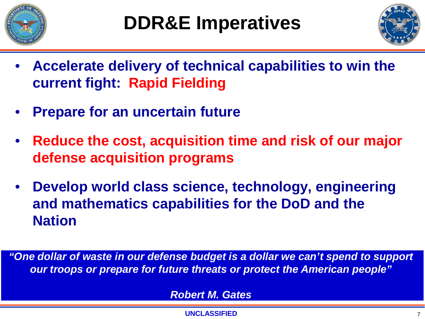



- **Accelerate delivery of technical capabilities to win the current fight: Rapid Fielding**
- **Prepare for an uncertain future**
- **Reduce the cost, acquisition time and risk of our major defense acquisition programs**
- **Develop world class science, technology, engineering and mathematics capabilities for the DoD and the Nation**

*"One dollar of waste in our defense budget is a dollar we can't spend to support our troops or prepare for future threats or protect the American people"*

*Robert M. Gates*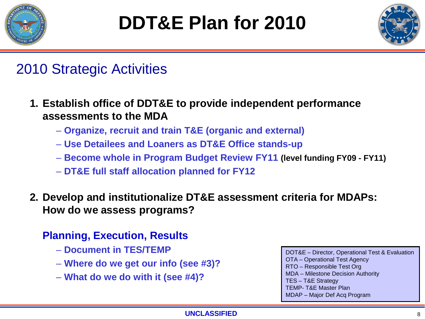



### 2010 Strategic Activities

- **1. Establish office of DDT&E to provide independent performance assessments to the MDA**
	- **Organize, recruit and train T&E (organic and external)**
	- **Use Detailees and Loaners as DT&E Office stands-up**
	- **Become whole in Program Budget Review FY11 (level funding FY09 - FY11)**
	- **DT&E full staff allocation planned for FY12**
- **2. Develop and institutionalize DT&E assessment criteria for MDAPs: How do we assess programs?**

### **Planning, Execution, Results**

- **Document in TES/TEMP**
- **Where do we get our info (see #3)?**
- **What do we do with it (see #4)?**

DOT&E – Director, Operational Test & Evaluation OTA – Operational Test Agency RTO – Responsible Test Org MDA – Milestone Decision Authority TES – T&E Strategy TEMP- T&E Master Plan MDAP – Major Def Acq Program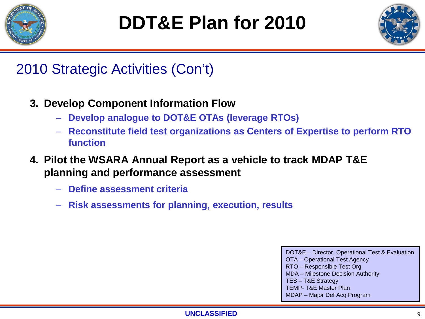



## 2010 Strategic Activities (Con't)

- **3. Develop Component Information Flow**
	- **Develop analogue to DOT&E OTAs (leverage RTOs)**
	- **Reconstitute field test organizations as Centers of Expertise to perform RTO function**
- **4. Pilot the WSARA Annual Report as a vehicle to track MDAP T&E planning and performance assessment**
	- **Define assessment criteria**
	- **Risk assessments for planning, execution, results**

DOT&E – Director, Operational Test & Evaluation OTA – Operational Test Agency RTO – Responsible Test Org MDA – Milestone Decision Authority TES – T&E Strategy TEMP- T&E Master Plan MDAP – Major Def Acq Program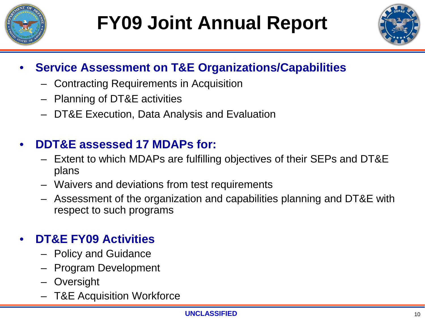



### • **Service Assessment on T&E Organizations/Capabilities**

- Contracting Requirements in Acquisition
- Planning of DT&E activities
- DT&E Execution, Data Analysis and Evaluation

### • **DDT&E assessed 17 MDAPs for:**

- Extent to which MDAPs are fulfilling objectives of their SEPs and DT&E plans
- Waivers and deviations from test requirements
- Assessment of the organization and capabilities planning and DT&E with respect to such programs

### • **DT&E FY09 Activities**

- Policy and Guidance
- Program Development
- **Oversight**
- T&E Acquisition Workforce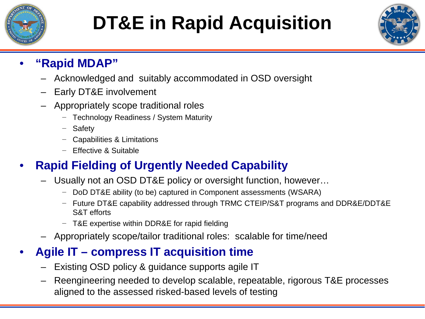

# **DT&E in Rapid Acquisition**



### • **"Rapid MDAP"**

- Acknowledged and suitably accommodated in OSD oversight
- Early DT&E involvement
- Appropriately scope traditional roles
	- − Technology Readiness / System Maturity
	- **Safety**
	- − Capabilities & Limitations
	- − Effective & Suitable

### • **Rapid Fielding of Urgently Needed Capability**

- Usually not an OSD DT&E policy or oversight function, however…
	- − DoD DT&E ability (to be) captured in Component assessments (WSARA)
	- − Future DT&E capability addressed through TRMC CTEIP/S&T programs and DDR&E/DDT&E S&T efforts
	- − T&E expertise within DDR&E for rapid fielding
- Appropriately scope/tailor traditional roles: scalable for time/need

### • **Agile IT – compress IT acquisition time**

- Existing OSD policy & guidance supports agile IT
- Reengineering needed to develop scalable, repeatable, rigorous T&E processes aligned to the assessed risked-based levels of testing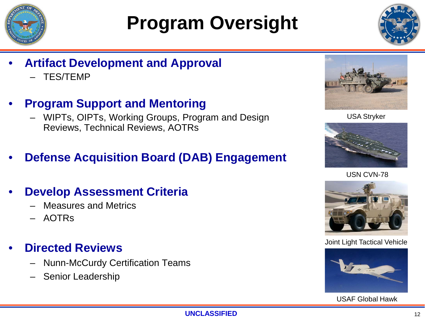

# **Program Oversight**



- **Artifact Development and Approval** 
	- TES/TEMP
- **Program Support and Mentoring**
	- WIPTs, OIPTs, Working Groups, Program and Design Reviews, Technical Reviews, AOTRs
- **Defense Acquisition Board (DAB) Engagement**

### • **Develop Assessment Criteria**

- Measures and Metrics
- AOTRs

### • **Directed Reviews**

- Nunn-McCurdy Certification Teams
- Senior Leadership



USA Stryker



USN CVN-78



Joint Light Tactical Vehicle



USAF Global Hawk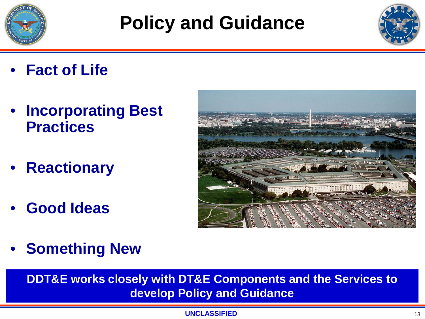

# **Policy and Guidance**



- **Fact of Life**
- **Incorporating Best Practices**
- **Reactionary**
- **Good Ideas**



• **Something New**

**DDT&E works closely with DT&E Components and the Services to develop Policy and Guidance**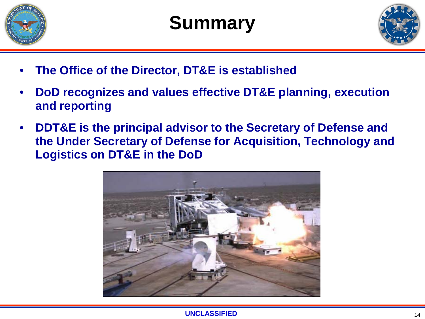

# **Summary**



- **The Office of the Director, DT&E is established**
- **DoD recognizes and values effective DT&E planning, execution and reporting**
- **DDT&E is the principal advisor to the Secretary of Defense and the Under Secretary of Defense for Acquisition, Technology and Logistics on DT&E in the DoD**